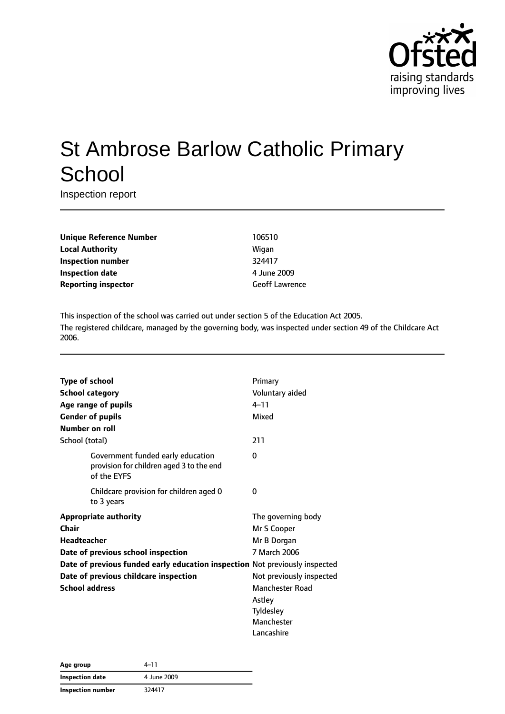

# St Ambrose Barlow Catholic Primary **School**

Inspection report

| <b>Unique Reference Number</b> | 10651  |
|--------------------------------|--------|
| <b>Local Authority</b>         | Wigan  |
| Inspection number              | 32441  |
| Inspection date                | 4 June |
| <b>Reporting inspector</b>     | Geoff  |

**Unique Reference Number** 106510 **Inspection number** 324417 **Inspection date** 4 June 2009 **Geoff Lawrence** 

This inspection of the school was carried out under section 5 of the Education Act 2005. The registered childcare, managed by the governing body, was inspected under section 49 of the Childcare Act 2006.

|                    | <b>Type of school</b>                                                                        | Primary                  |
|--------------------|----------------------------------------------------------------------------------------------|--------------------------|
|                    | <b>School category</b>                                                                       | Voluntary aided          |
|                    | Age range of pupils                                                                          | $4 - 11$                 |
|                    | <b>Gender of pupils</b>                                                                      | Mixed                    |
|                    | Number on roll                                                                               |                          |
| School (total)     |                                                                                              | 211                      |
|                    | Government funded early education<br>provision for children aged 3 to the end<br>of the EYFS | 0                        |
|                    | Childcare provision for children aged 0<br>to 3 years                                        | 0                        |
|                    | <b>Appropriate authority</b>                                                                 | The governing body       |
| Chair              |                                                                                              | Mr S Cooper              |
| <b>Headteacher</b> |                                                                                              | Mr B Dorgan              |
|                    | Date of previous school inspection                                                           | 7 March 2006             |
|                    | Date of previous funded early education inspection Not previously inspected                  |                          |
|                    | Date of previous childcare inspection                                                        | Not previously inspected |
|                    | <b>School address</b>                                                                        | <b>Manchester Road</b>   |
|                    |                                                                                              | Astley                   |
|                    |                                                                                              | Tyldesley                |
|                    |                                                                                              | Manchester               |
|                    |                                                                                              | Lancashire               |

| Age group         | 4–11        |  |
|-------------------|-------------|--|
| Inspection date   | 4 June 2009 |  |
| Inspection number | 324417      |  |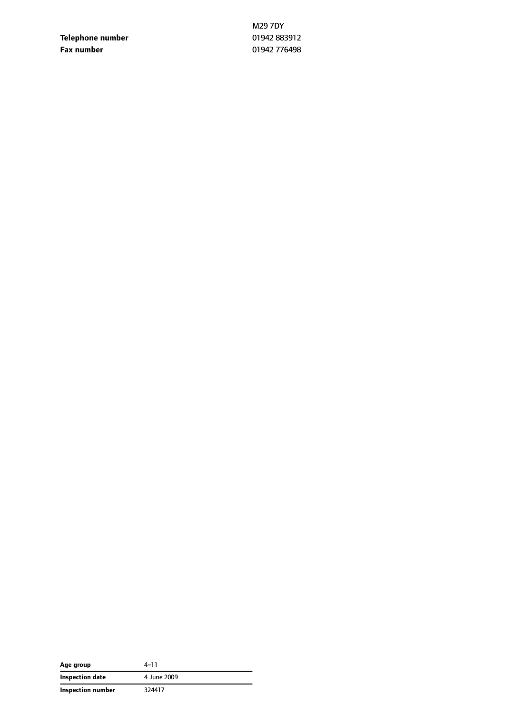**Telephone number** 01942 883912 **Fax number** 01942 776498

M29 7DY

| Age group         | $4 - 11$    |
|-------------------|-------------|
| Inspection date   | 4 June 2009 |
| Inspection number | 324417      |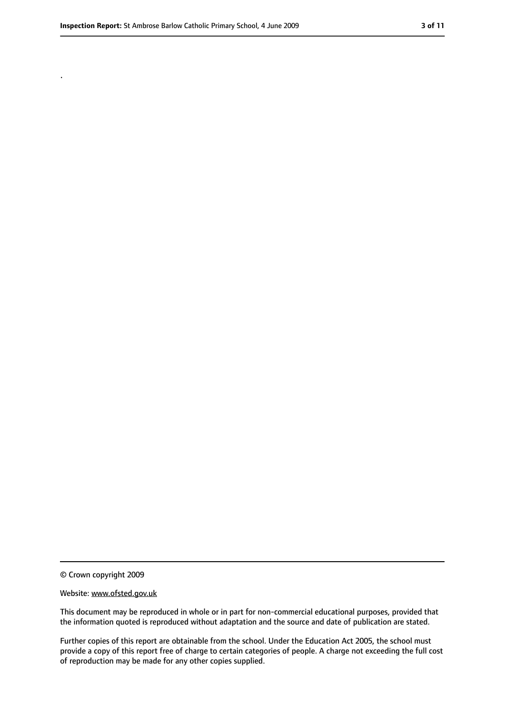.

<sup>©</sup> Crown copyright 2009

Website: www.ofsted.gov.uk

This document may be reproduced in whole or in part for non-commercial educational purposes, provided that the information quoted is reproduced without adaptation and the source and date of publication are stated.

Further copies of this report are obtainable from the school. Under the Education Act 2005, the school must provide a copy of this report free of charge to certain categories of people. A charge not exceeding the full cost of reproduction may be made for any other copies supplied.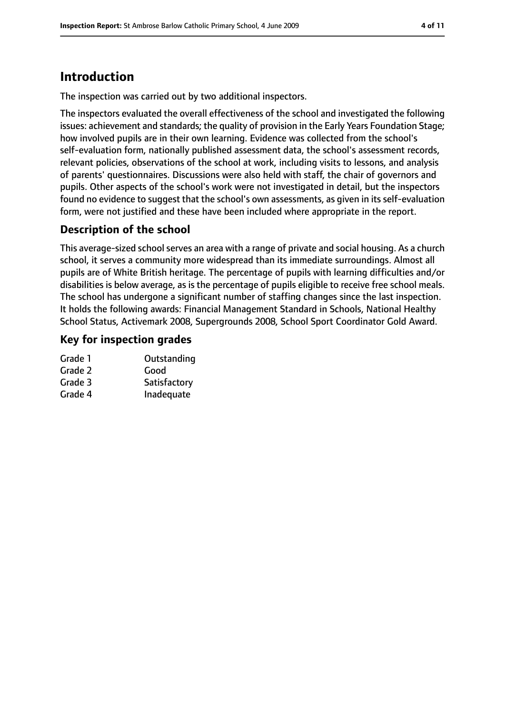# **Introduction**

The inspection was carried out by two additional inspectors.

The inspectors evaluated the overall effectiveness of the school and investigated the following issues: achievement and standards; the quality of provision in the Early Years Foundation Stage; how involved pupils are in their own learning. Evidence was collected from the school's self-evaluation form, nationally published assessment data, the school's assessment records, relevant policies, observations of the school at work, including visits to lessons, and analysis of parents' questionnaires. Discussions were also held with staff, the chair of governors and pupils. Other aspects of the school's work were not investigated in detail, but the inspectors found no evidence to suggest that the school's own assessments, as given in its self-evaluation form, were not justified and these have been included where appropriate in the report.

### **Description of the school**

This average-sized school serves an area with a range of private and social housing. As a church school, it serves a community more widespread than its immediate surroundings. Almost all pupils are of White British heritage. The percentage of pupils with learning difficulties and/or disabilities is below average, as is the percentage of pupils eligible to receive free school meals. The school has undergone a significant number of staffing changes since the last inspection. It holds the following awards: Financial Management Standard in Schools, National Healthy School Status, Activemark 2008, Supergrounds 2008, School Sport Coordinator Gold Award.

### **Key for inspection grades**

| Grade 1 | Outstanding  |
|---------|--------------|
| Grade 2 | Good         |
| Grade 3 | Satisfactory |
| Grade 4 | Inadequate   |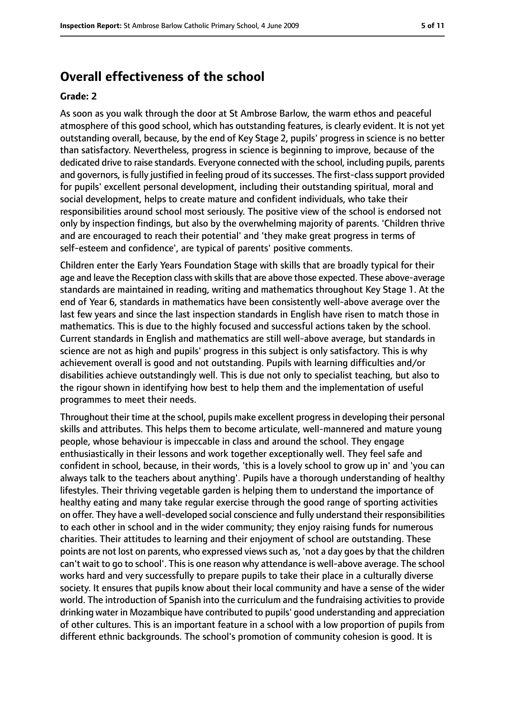### **Overall effectiveness of the school**

#### **Grade: 2**

As soon as you walk through the door at St Ambrose Barlow, the warm ethos and peaceful atmosphere of this good school, which has outstanding features, is clearly evident. It is not yet outstanding overall, because, by the end of Key Stage 2, pupils' progress in science is no better than satisfactory. Nevertheless, progress in science is beginning to improve, because of the dedicated drive to raise standards. Everyone connected with the school, including pupils, parents and governors, is fully justified in feeling proud of its successes. The first-class support provided for pupils' excellent personal development, including their outstanding spiritual, moral and social development, helps to create mature and confident individuals, who take their responsibilities around school most seriously. The positive view of the school is endorsed not only by inspection findings, but also by the overwhelming majority of parents. 'Children thrive and are encouraged to reach their potential' and 'they make great progress in terms of self-esteem and confidence', are typical of parents' positive comments.

Children enter the Early Years Foundation Stage with skills that are broadly typical for their age and leave the Reception class with skills that are above those expected. These above-average standards are maintained in reading, writing and mathematics throughout Key Stage 1. At the end of Year 6, standards in mathematics have been consistently well-above average over the last few years and since the last inspection standards in English have risen to match those in mathematics. This is due to the highly focused and successful actions taken by the school. Current standards in English and mathematics are still well-above average, but standards in science are not as high and pupils' progress in this subject is only satisfactory. This is why achievement overall is good and not outstanding. Pupils with learning difficulties and/or disabilities achieve outstandingly well. This is due not only to specialist teaching, but also to the rigour shown in identifying how best to help them and the implementation of useful programmes to meet their needs.

Throughout their time at the school, pupils make excellent progressin developing their personal skills and attributes. This helps them to become articulate, well-mannered and mature young people, whose behaviour is impeccable in class and around the school. They engage enthusiastically in their lessons and work together exceptionally well. They feel safe and confident in school, because, in their words, 'this is a lovely school to grow up in' and 'you can always talk to the teachers about anything'. Pupils have a thorough understanding of healthy lifestyles. Their thriving vegetable garden is helping them to understand the importance of healthy eating and many take regular exercise through the good range of sporting activities on offer. They have a well-developed social conscience and fully understand their responsibilities to each other in school and in the wider community; they enjoy raising funds for numerous charities. Their attitudes to learning and their enjoyment of school are outstanding. These points are not lost on parents, who expressed views such as, 'not a day goes by that the children can't wait to go to school'. Thisis one reason why attendance is well-above average. The school works hard and very successfully to prepare pupils to take their place in a culturally diverse society. It ensures that pupils know about their local community and have a sense of the wider world. The introduction of Spanish into the curriculum and the fundraising activities to provide drinking water in Mozambique have contributed to pupils' good understanding and appreciation of other cultures. This is an important feature in a school with a low proportion of pupils from different ethnic backgrounds. The school's promotion of community cohesion is good. It is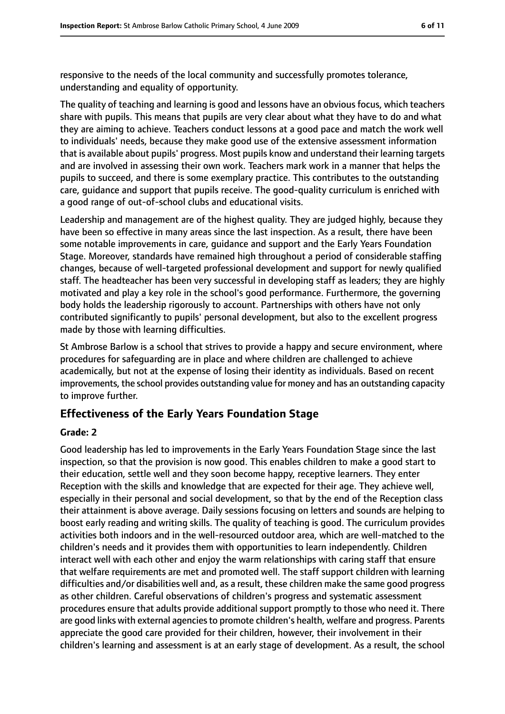responsive to the needs of the local community and successfully promotes tolerance, understanding and equality of opportunity.

The quality of teaching and learning is good and lessons have an obvious focus, which teachers share with pupils. This means that pupils are very clear about what they have to do and what they are aiming to achieve. Teachers conduct lessons at a good pace and match the work well to individuals' needs, because they make good use of the extensive assessment information that is available about pupils' progress. Most pupils know and understand their learning targets and are involved in assessing their own work. Teachers mark work in a manner that helps the pupils to succeed, and there is some exemplary practice. This contributes to the outstanding care, guidance and support that pupils receive. The good-quality curriculum is enriched with a good range of out-of-school clubs and educational visits.

Leadership and management are of the highest quality. They are judged highly, because they have been so effective in many areas since the last inspection. As a result, there have been some notable improvements in care, guidance and support and the Early Years Foundation Stage. Moreover, standards have remained high throughout a period of considerable staffing changes, because of well-targeted professional development and support for newly qualified staff. The headteacher has been very successful in developing staff as leaders; they are highly motivated and play a key role in the school's good performance. Furthermore, the governing body holds the leadership rigorously to account. Partnerships with others have not only contributed significantly to pupils' personal development, but also to the excellent progress made by those with learning difficulties.

St Ambrose Barlow is a school that strives to provide a happy and secure environment, where procedures for safeguarding are in place and where children are challenged to achieve academically, but not at the expense of losing their identity as individuals. Based on recent improvements, the school provides outstanding value for money and has an outstanding capacity to improve further.

#### **Effectiveness of the Early Years Foundation Stage**

#### **Grade: 2**

Good leadership has led to improvements in the Early Years Foundation Stage since the last inspection, so that the provision is now good. This enables children to make a good start to their education, settle well and they soon become happy, receptive learners. They enter Reception with the skills and knowledge that are expected for their age. They achieve well, especially in their personal and social development, so that by the end of the Reception class their attainment is above average. Daily sessions focusing on letters and sounds are helping to boost early reading and writing skills. The quality of teaching is good. The curriculum provides activities both indoors and in the well-resourced outdoor area, which are well-matched to the children's needs and it provides them with opportunities to learn independently. Children interact well with each other and enjoy the warm relationships with caring staff that ensure that welfare requirements are met and promoted well. The staff support children with learning difficulties and/or disabilities well and, as a result, these children make the same good progress as other children. Careful observations of children's progress and systematic assessment procedures ensure that adults provide additional support promptly to those who need it. There are good links with external agencies to promote children's health, welfare and progress. Parents appreciate the good care provided for their children, however, their involvement in their children's learning and assessment is at an early stage of development. As a result, the school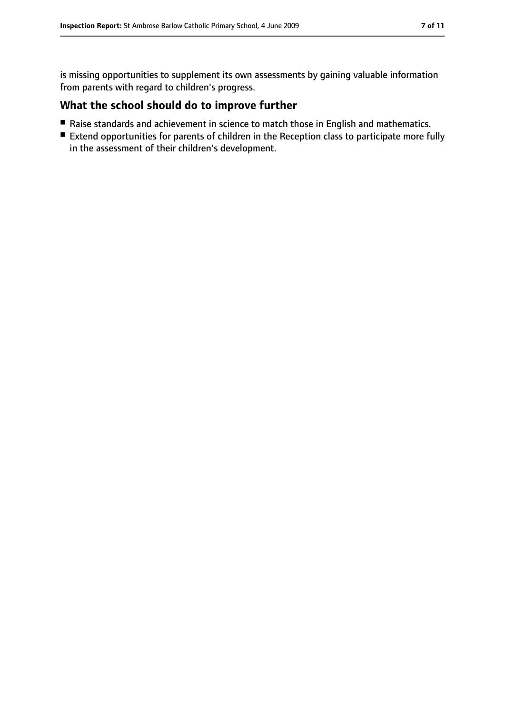is missing opportunities to supplement its own assessments by gaining valuable information from parents with regard to children's progress.

### **What the school should do to improve further**

- Raise standards and achievement in science to match those in English and mathematics.
- Extend opportunities for parents of children in the Reception class to participate more fully in the assessment of their children's development.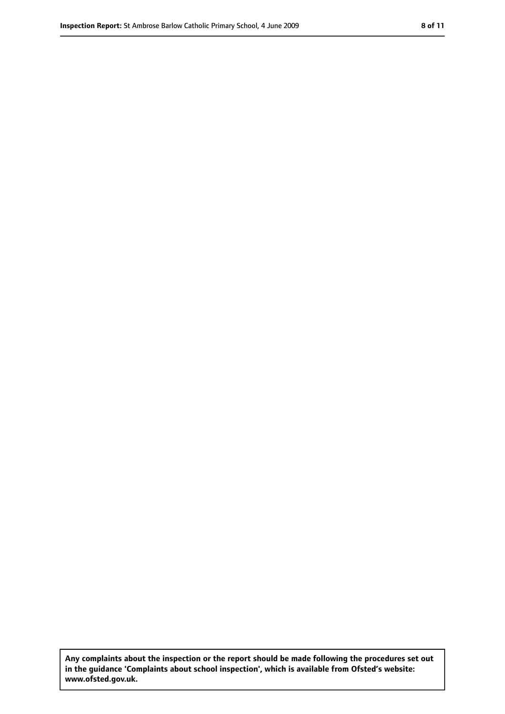**Any complaints about the inspection or the report should be made following the procedures set out in the guidance 'Complaints about school inspection', which is available from Ofsted's website: www.ofsted.gov.uk.**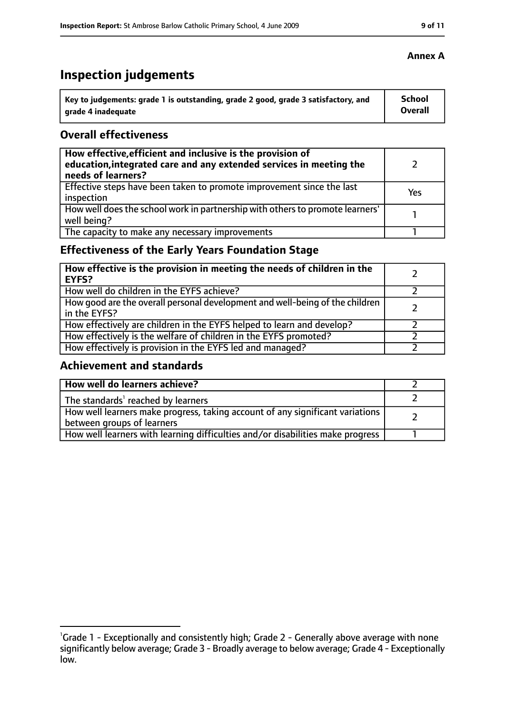# **Inspection judgements**

| Key to judgements: grade 1 is outstanding, grade 2 good, grade 3 satisfactory, and | <b>School</b> |
|------------------------------------------------------------------------------------|---------------|
| arade 4 inadequate                                                                 | Overall       |

### **Overall effectiveness**

| How effective, efficient and inclusive is the provision of<br>education, integrated care and any extended services in meeting the<br>needs of learners? |     |
|---------------------------------------------------------------------------------------------------------------------------------------------------------|-----|
| Effective steps have been taken to promote improvement since the last<br>inspection                                                                     | Yes |
| How well does the school work in partnership with others to promote learners'<br>well being?                                                            |     |
| The capacity to make any necessary improvements                                                                                                         |     |

### **Effectiveness of the Early Years Foundation Stage**

| How effective is the provision in meeting the needs of children in the<br><b>EYFS?</b>       |  |
|----------------------------------------------------------------------------------------------|--|
| How well do children in the EYFS achieve?                                                    |  |
| How good are the overall personal development and well-being of the children<br>in the EYFS? |  |
| How effectively are children in the EYFS helped to learn and develop?                        |  |
| How effectively is the welfare of children in the EYFS promoted?                             |  |
| How effectively is provision in the EYFS led and managed?                                    |  |

### **Achievement and standards**

| How well do learners achieve?                                                                               |  |
|-------------------------------------------------------------------------------------------------------------|--|
| The standards <sup>1</sup> reached by learners                                                              |  |
| How well learners make progress, taking account of any significant variations<br>between groups of learners |  |
| How well learners with learning difficulties and/or disabilities make progress                              |  |

<sup>&</sup>lt;sup>1</sup>Grade 1 - Exceptionally and consistently high; Grade 2 - Generally above average with none significantly below average; Grade 3 - Broadly average to below average; Grade 4 - Exceptionally low.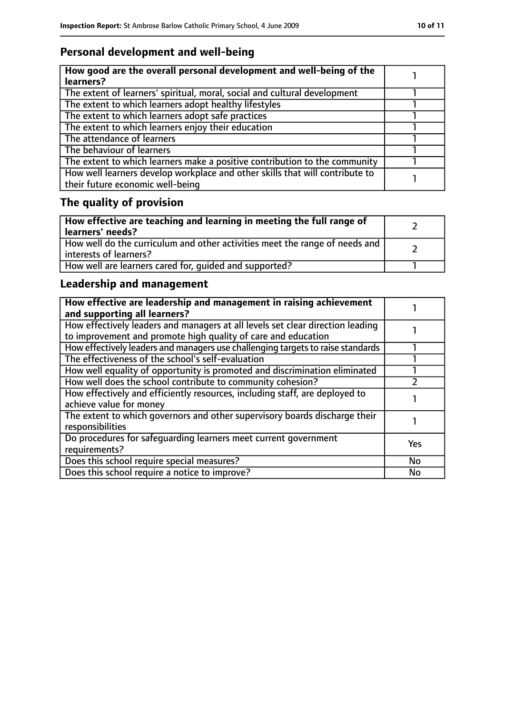### **Personal development and well-being**

| How good are the overall personal development and well-being of the<br>learners?                                 |  |
|------------------------------------------------------------------------------------------------------------------|--|
| The extent of learners' spiritual, moral, social and cultural development                                        |  |
| The extent to which learners adopt healthy lifestyles                                                            |  |
| The extent to which learners adopt safe practices                                                                |  |
| The extent to which learners enjoy their education                                                               |  |
| The attendance of learners                                                                                       |  |
| The behaviour of learners                                                                                        |  |
| The extent to which learners make a positive contribution to the community                                       |  |
| How well learners develop workplace and other skills that will contribute to<br>their future economic well-being |  |

# **The quality of provision**

| $\mid$ How effective are teaching and learning in meeting the full range of<br>  learners' needs?       |  |
|---------------------------------------------------------------------------------------------------------|--|
| How well do the curriculum and other activities meet the range of needs and<br>  interests of learners? |  |
| How well are learners cared for, quided and supported?                                                  |  |

### **Leadership and management**

| How effective are leadership and management in raising achievement<br>and supporting all learners?                                              |     |
|-------------------------------------------------------------------------------------------------------------------------------------------------|-----|
| How effectively leaders and managers at all levels set clear direction leading<br>to improvement and promote high quality of care and education |     |
| How effectively leaders and managers use challenging targets to raise standards                                                                 |     |
| The effectiveness of the school's self-evaluation                                                                                               |     |
| How well equality of opportunity is promoted and discrimination eliminated                                                                      |     |
| How well does the school contribute to community cohesion?                                                                                      |     |
| How effectively and efficiently resources, including staff, are deployed to<br>achieve value for money                                          |     |
| The extent to which governors and other supervisory boards discharge their<br>responsibilities                                                  |     |
| Do procedures for safequarding learners meet current government<br>requirements?                                                                | Yes |
| Does this school require special measures?                                                                                                      | No  |
| Does this school require a notice to improve?                                                                                                   | No  |